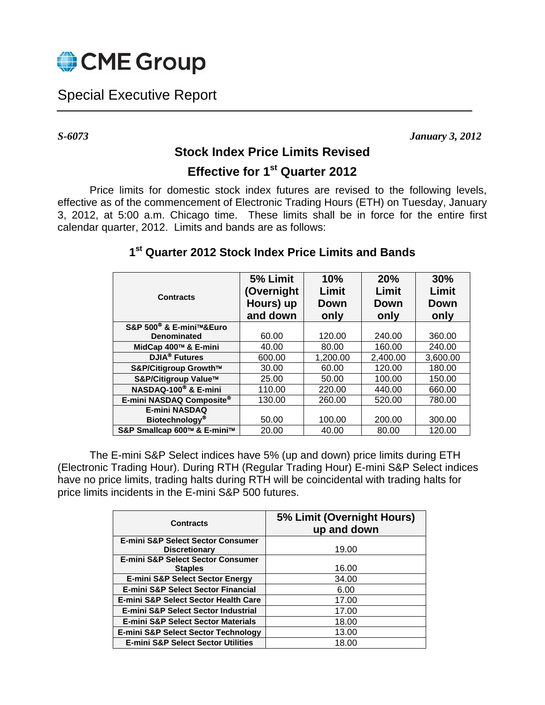

## Special Executive Report

*S-6073 January 3, 2012* 

## **Stock Index Price Limits Revised**

## **Effective for 1st Quarter 2012**

Price limits for domestic stock index futures are revised to the following levels, effective as of the commencement of Electronic Trading Hours (ETH) on Tuesday, January 3, 2012, at 5:00 a.m. Chicago time. These limits shall be in force for the entire first calendar quarter, 2012. Limits and bands are as follows:

| <b>Contracts</b>                    | 5% Limit<br>(Overnight<br>Hours) up<br>and down | 10%<br>Limit<br>Down<br>only | 20%<br>Limit<br>Down<br>only | 30%<br>Limit<br><b>Down</b><br>only |
|-------------------------------------|-------------------------------------------------|------------------------------|------------------------------|-------------------------------------|
| S&P 500 <sup>®</sup> & E-mini™&Euro |                                                 |                              |                              |                                     |
| <b>Denominated</b>                  | 60.00                                           | 120.00                       | 240.00                       | 360.00                              |
| MidCap 400™ & E-mini                | 40.00                                           | 80.00                        | 160.00                       | 240.00                              |
| <b>DJIA<sup>®</sup></b> Futures     | 600.00                                          | 1,200.00                     | 2,400.00                     | 3,600.00                            |
| S&P/Citigroup Growth™               | 30.00                                           | 60.00                        | 120.00                       | 180.00                              |
| S&P/Citigroup Value™                | 25.00                                           | 50.00                        | 100.00                       | 150.00                              |
| NASDAQ-100 <sup>®</sup> & E-mini    | 110.00                                          | 220.00                       | 440.00                       | 660.00                              |
| E-mini NASDAQ Composite®            | 130.00                                          | 260.00                       | 520.00                       | 780.00                              |
| <b>E-mini NASDAQ</b>                |                                                 |                              |                              |                                     |
| Biotechnology®                      | 50.00                                           | 100.00                       | 200.00                       | 300.00                              |
| S&P Smallcap 600™ & E-mini™         | 20.00                                           | 40.00                        | 80.00                        | 120.00                              |

## **1st Quarter 2012 Stock Index Price Limits and Bands**

The E-mini S&P Select indices have 5% (up and down) price limits during ETH (Electronic Trading Hour). During RTH (Regular Trading Hour) E-mini S&P Select indices have no price limits, trading halts during RTH will be coincidental with trading halts for price limits incidents in the E-mini S&P 500 futures.

| <b>Contracts</b>                               | 5% Limit (Overnight Hours)<br>up and down |  |  |
|------------------------------------------------|-------------------------------------------|--|--|
| <b>E-mini S&amp;P Select Sector Consumer</b>   |                                           |  |  |
| <b>Discretionary</b>                           | 19.00                                     |  |  |
| <b>E-mini S&amp;P Select Sector Consumer</b>   |                                           |  |  |
| <b>Staples</b>                                 | 16.00                                     |  |  |
| <b>E-mini S&amp;P Select Sector Energy</b>     | 34.00                                     |  |  |
| <b>E-mini S&amp;P Select Sector Financial</b>  | 6.00                                      |  |  |
| E-mini S&P Select Sector Health Care           | 17.00                                     |  |  |
| E-mini S&P Select Sector Industrial            | 17.00                                     |  |  |
| <b>E-mini S&amp;P Select Sector Materials</b>  | 18.00                                     |  |  |
| <b>E-mini S&amp;P Select Sector Technology</b> | 13.00                                     |  |  |
| <b>E-mini S&amp;P Select Sector Utilities</b>  | 18.00                                     |  |  |